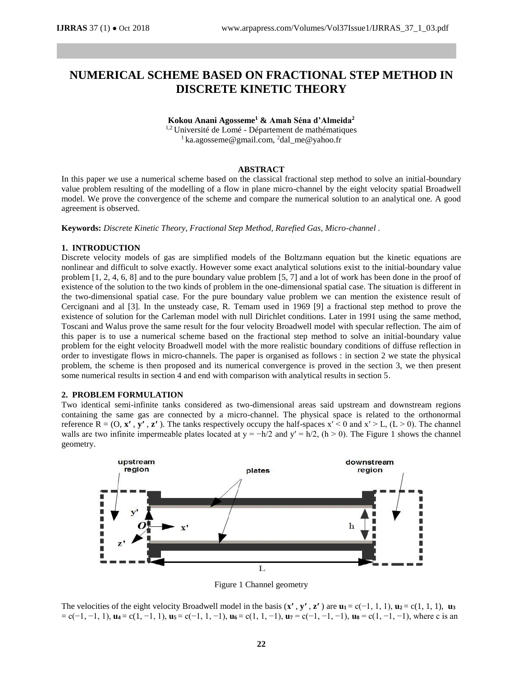# **NUMERICAL SCHEME BASED ON FRACTIONAL STEP METHOD IN DISCRETE KINETIC THEORY**

**Kokou Anani Agosseme<sup>1</sup> & Amah Séna d'Almeida<sup>2</sup>**

<sup>1,2</sup> Université de Lomé - Département de mathématiques  $1$  ka.agosseme@gmail.com, <sup>2</sup>dal\_me@yahoo.fr

# **ABSTRACT**

In this paper we use a numerical scheme based on the classical fractional step method to solve an initial-boundary value problem resulting of the modelling of a flow in plane micro-channel by the eight velocity spatial Broadwell model. We prove the convergence of the scheme and compare the numerical solution to an analytical one. A good agreement is observed.

**Keywords:** *Discrete Kinetic Theory, Fractional Step Method, Rarefied Gas, Micro-channel .*

## **1. INTRODUCTION**

Discrete velocity models of gas are simplified models of the Boltzmann equation but the kinetic equations are nonlinear and difficult to solve exactly. However some exact analytical solutions exist to the initial-boundary value problem [1, 2, 4, 6, 8] and to the pure boundary value problem [5, 7] and a lot of work has been done in the proof of existence of the solution to the two kinds of problem in the one-dimensional spatial case. The situation is different in the two-dimensional spatial case. For the pure boundary value problem we can mention the existence result of Cercignani and al [3]. In the unsteady case, R. Temam used in 1969 [9] a fractional step method to prove the existence of solution for the Carleman model with null Dirichlet conditions. Later in 1991 using the same method, Toscani and Walus prove the same result for the four velocity Broadwell model with specular reflection. The aim of this paper is to use a numerical scheme based on the fractional step method to solve an initial-boundary value problem for the eight velocity Broadwell model with the more realistic boundary conditions of diffuse reflection in order to investigate flows in micro-channels. The paper is organised as follows : in section 2 we state the physical problem, the scheme is then proposed and its numerical convergence is proved in the section 3, we then present some numerical results in section 4 and end with comparison with analytical results in section 5.

## **2. PROBLEM FORMULATION**

Two identical semi-infinite tanks considered as two-dimensional areas said upstream and downstream regions containing the same gas are connected by a micro-channel. The physical space is related to the orthonormal reference  $R = (O, x', y', z')$ . The tanks respectively occupy the half-spaces  $x' < 0$  and  $x' > L$ ,  $(L > 0)$ . The channel walls are two infinite impermeable plates located at  $y = -h/2$  and  $y' = h/2$ ,  $(h > 0)$ . The Figure 1 shows the channel geometry.



Figure 1 Channel geometry

The velocities of the eight velocity Broadwell model in the basis  $(\mathbf{x}', \mathbf{y}', \mathbf{z}')$  are  $\mathbf{u}_1 = c(-1, 1, 1)$ ,  $\mathbf{u}_2 = c(1, 1, 1)$ ,  $\mathbf{u}_3$ = c(−1, −1, 1), **u<sup>4</sup>** = c(1, −1, 1), **u<sup>5</sup>** = c(−1, 1, −1), **u<sup>6</sup>** = c(1, 1, −1), **u<sup>7</sup>** = c(−1, −1, −1), **u<sup>8</sup>** = c(1, −1, −1), where c is an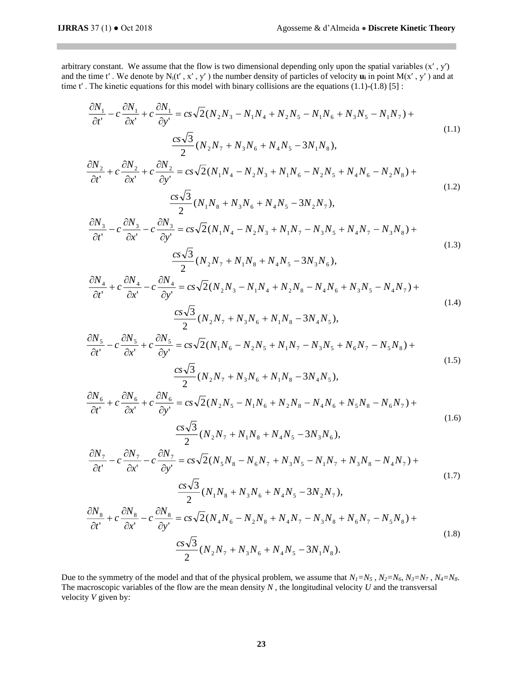arbitrary constant. We assume that the flow is two dimensional depending only upon the spatial variables  $(x', y')$ and the time t'. We denote by  $N_i(t', x', y')$  the number density of particles of velocity  $\bf{u}_i$  in point  $M(x', y')$  and at time t'. The kinetic equations for this model with binary collisions are the equations  $(1.1)-(1.8)$  [5]:

$$
\frac{\partial N_1}{\partial t'} - c \frac{\partial N_1}{\partial x'} + c \frac{\partial N_1}{\partial y'} = cs\sqrt{2}(N_2N_3 - N_1N_4 + N_2N_5 - N_1N_6 + N_3N_5 - N_1N_7) + \frac{cs\sqrt{3}}{2}(N_2N_7 + N_3N_6 + N_4N_5 - 3N_1N_8),
$$
\n(1.1)

$$
\frac{\partial N_2}{\partial t'} + c \frac{\partial N_2}{\partial x'} + c \frac{\partial N_2}{\partial y'} = cs \sqrt{2} (N_1 N_4 - N_2 N_3 + N_1 N_6 - N_2 N_5 + N_4 N_6 - N_2 N_8) +
$$
  

$$
\frac{cs \sqrt{3}}{2} (N_1 N_8 + N_3 N_6 + N_4 N_5 - 3N_2 N_7),
$$
 (1.2)

$$
\frac{\partial N_3}{\partial t'} - c \frac{\partial N_3}{\partial x'} - c \frac{\partial N_3}{\partial y'} = cs \sqrt{2} (N_1 N_4 - N_2 N_3 + N_1 N_7 - N_3 N_5 + N_4 N_7 - N_3 N_8) +
$$
  

$$
\frac{cs \sqrt{3}}{2} (N_2 N_7 + N_1 N_8 + N_4 N_5 - 3N_3 N_6),
$$
 (1.3)

$$
\frac{\partial N_4}{\partial t^1} + c \frac{\partial N_4}{\partial x^1} - c \frac{\partial N_4}{\partial y^1} = cs\sqrt{2}(N_2N_3 - N_1N_4 + N_2N_8 - N_4N_6 + N_3N_5 - N_4N_7) +
$$
\n(1.4)

$$
\frac{c s \sqrt{3}}{2} (N_2 N_7 + N_3 N_6 + N_1 N_8 - 3N_4 N_5),
$$
  
\n
$$
\frac{\partial N_5}{\partial t'} - c \frac{\partial N_5}{\partial x'} + c \frac{\partial N_5}{\partial y'} = c s \sqrt{2} (N_1 N_6 - N_2 N_5 + N_1 N_7 - N_3 N_5 + N_6 N_7 - N_5 N_8) +
$$
  
\n
$$
\frac{c s \sqrt{3}}{2} (N_2 N_7 + N_3 N_6 + N_1 N_8 - 3N_4 N_5),
$$
\n(1.5)

$$
\frac{\partial N_{6}}{\partial t^{i}} + c \frac{\partial N_{6}}{\partial x^{i}} + c \frac{\partial N_{6}}{\partial y^{i}} = cs\sqrt{2}(N_{2}N_{5} - N_{1}N_{6} + N_{2}N_{8} - N_{4}N_{6} + N_{5}N_{8} - N_{6}N_{7}) +
$$
\n
$$
\frac{cs\sqrt{3}}{2}(N_{2}N_{7} + N_{1}N_{8} + N_{4}N_{5} - 3N_{3}N_{6}),
$$
\n
$$
\frac{\partial N_{7}}{\partial t^{i}} - c \frac{\partial N_{7}}{\partial x^{i}} - c \frac{\partial N_{7}}{\partial y^{i}} = cs\sqrt{2}(N_{5}N_{8} - N_{6}N_{7} + N_{3}N_{5} - N_{1}N_{7} + N_{3}N_{8} - N_{4}N_{7}) +
$$
\n
$$
\frac{cs\sqrt{3}}{2}(N_{1}N_{8} + N_{3}N_{6} + N_{4}N_{5} - 3N_{2}N_{7}),
$$
\n
$$
\frac{\partial N_{8}}{\partial t^{i}} + c \frac{\partial N_{8}}{\partial x^{i}} - c \frac{\partial N_{8}}{\partial y^{i}} = cs\sqrt{2}(N_{4}N_{6} - N_{2}N_{8} + N_{4}N_{7} - N_{3}N_{8} + N_{6}N_{7} - N_{5}N_{8}) +
$$
\n
$$
\frac{cs\sqrt{3}}{2}(N_{2}N_{7} + N_{3}N_{6} + N_{4}N_{5} - 3N_{1}N_{8}).
$$
\n(1.8)

Due to the symmetry of the model and that of the physical problem, we assume that  $N_1 = N_5$ ,  $N_2 = N_6$ ,  $N_3 = N_7$ ,  $N_4 = N_8$ . The macroscopic variables of the flow are the mean density *N* , the longitudinal velocity *U* and the transversal velocity *V* given by: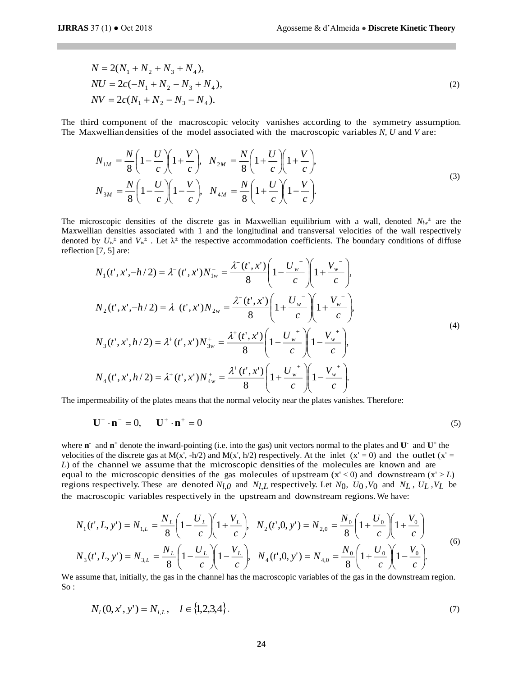$$
N = 2(N_1 + N_2 + N_3 + N_4),
$$
  
\n
$$
NU = 2c(-N_1 + N_2 - N_3 + N_4),
$$
  
\n
$$
NV = 2c(N_1 + N_2 - N_3 - N_4).
$$
\n(2)

The third component of the macroscopic velocity vanishes according to the symmetry assumption. The Maxwellian densities of the model associated with the macroscopic variables *N, U* and *V* are:

$$
N_{1M} = \frac{N}{8} \left( 1 - \frac{U}{c} \right) \left( 1 + \frac{V}{c} \right), \quad N_{2M} = \frac{N}{8} \left( 1 + \frac{U}{c} \right) \left( 1 + \frac{V}{c} \right),
$$
  
\n
$$
N_{3M} = \frac{N}{8} \left( 1 - \frac{U}{c} \right) \left( 1 - \frac{V}{c} \right), \quad N_{4M} = \frac{N}{8} \left( 1 + \frac{U}{c} \right) \left( 1 - \frac{V}{c} \right).
$$
\n(3)

The microscopic densities of the discrete gas in Maxwellian equilibrium with a wall, denoted  $N_{lw}$  are the Maxwellian densities associated with 1 and the longitudinal and transversal velocities of the wall respectively denoted by  $U_w^{\pm}$  and  $V_w^{\pm}$ . Let  $\lambda^{\pm}$  the respective accommodation coefficients. The boundary conditions of diffuse reflection [7, 5] are:

$$
N_{1}(t', x', -h/2) = \lambda^{-}(t', x')N_{1w}^{-} = \frac{\lambda^{-}(t', x')}{8} \left(1 - \frac{U_{w}^{-}}{c}\right) \left(1 + \frac{V_{w}^{-}}{c}\right),
$$
  
\n
$$
N_{2}(t', x', -h/2) = \lambda^{-}(t', x')N_{2w}^{-} = \frac{\lambda^{-}(t', x')}{8} \left(1 + \frac{U_{w}^{-}}{c}\right) \left(1 + \frac{V_{w}^{-}}{c}\right),
$$
  
\n
$$
N_{3}(t', x', h/2) = \lambda^{+}(t', x')N_{3w}^{+} = \frac{\lambda^{+}(t', x')}{8} \left(1 - \frac{U_{w}^{+}}{c}\right) \left(1 - \frac{V_{w}^{+}}{c}\right),
$$
  
\n
$$
N_{4}(t', x', h/2) = \lambda^{+}(t', x')N_{4w}^{+} = \frac{\lambda^{+}(t', x')}{8} \left(1 + \frac{U_{w}^{+}}{c}\right) \left(1 - \frac{V_{w}^{+}}{c}\right).
$$
  
\n(4)

The impermeability of the plates means that the normal velocity near the plates vanishes. Therefore:

$$
\mathbf{U}^- \cdot \mathbf{n}^- = 0, \qquad \mathbf{U}^+ \cdot \mathbf{n}^+ = 0 \tag{5}
$$

where **n** and  $\mathbf{n}^+$  denote the inward-pointing (i.e. into the gas) unit vectors normal to the plates and  $\mathbf{U}^-$  and  $\mathbf{U}^+$  the velocities of the discrete gas at M(x', -h/2) and M(x', h/2) respectively. At the inlet  $(x' = 0)$  and the outlet  $(x' = 0)$ *L*) of the channel we assume that the microscopic densities of the molecules are known and are equal to the microscopic densities of the gas molecules of upstream  $(x' < 0)$  and downstream  $(x' > L)$ regions respectively. These are denoted  $N_{l,0}$  and  $N_{l,L}$  respectively. Let  $N_0$ ,  $U_0$ ,  $V_0$  and  $N_L$ ,  $U_L$ ,  $V_L$  be the macroscopic variables respectively in the upstream and downstream regions.We have:

$$
N_1(t',L,y') = N_{1,L} = \frac{N_L}{8} \left( 1 - \frac{U_L}{c} \right) \left( 1 + \frac{V_L}{c} \right), \quad N_2(t',0,y') = N_{2,0} = \frac{N_0}{8} \left( 1 + \frac{U_0}{c} \right) \left( 1 + \frac{V_0}{c} \right)
$$
  

$$
N_3(t',L,y') = N_{3,L} = \frac{N_L}{8} \left( 1 - \frac{U_L}{c} \right) \left( 1 - \frac{V_L}{c} \right), \quad N_4(t',0,y') = N_{4,0} = \frac{N_0}{8} \left( 1 + \frac{U_0}{c} \right) \left( 1 - \frac{V_0}{c} \right).
$$
 (6)

We assume that, initially, the gas in the channel has the macroscopic variables of the gas in the downstream region. So :

$$
N_l(0, x', y') = N_{l, L}, \quad l \in \{1, 2, 3, 4\}.
$$
 (7)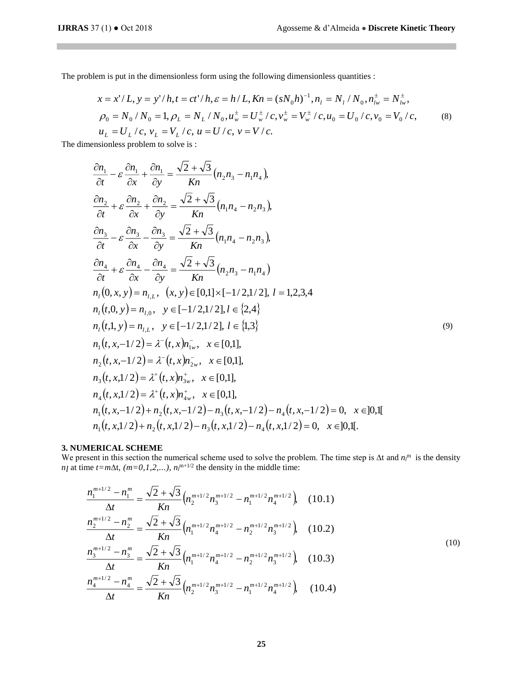П

The problem is put in the dimensionless form using the following dimensionless quantities :

$$
x = x'/L, y = y'/h, t = ct'/h, \varepsilon = h/L, Kn = (sN_0h)^{-1}, n_1 = N_1/N_0, n_{lw}^{\dagger} = N_{lw}^{\dagger},
$$
  
\n
$$
\rho_0 = N_0/N_0 = 1, \rho_L = N_L/N_0, u_w^{\dagger} = U_w^{\dagger}/c, v_w^{\dagger} = V_w^{\dagger}/c, u_0 = U_0/c, v_0 = V_0/c,
$$
  
\n
$$
u_L = U_L/c, v_L = V_L/c, u = U/c, v = V/c.
$$
\n(8)

The dimensionless problem to solve is :

$$
\frac{\partial n_1}{\partial t} - \varepsilon \frac{\partial n_1}{\partial x} + \frac{\partial n_1}{\partial y} = \frac{\sqrt{2} + \sqrt{3}}{Kn} (n_2 n_3 - n_1 n_4),
$$
\n
$$
\frac{\partial n_2}{\partial t} + \varepsilon \frac{\partial n_2}{\partial x} + \frac{\partial n_2}{\partial y} = \frac{\sqrt{2} + \sqrt{3}}{Kn} (n_1 n_4 - n_2 n_3),
$$
\n
$$
\frac{\partial n_3}{\partial t} - \varepsilon \frac{\partial n_3}{\partial x} - \frac{\partial n_3}{\partial y} = \frac{\sqrt{2} + \sqrt{3}}{Kn} (n_1 n_4 - n_2 n_3),
$$
\n
$$
\frac{\partial n_4}{\partial t} + \varepsilon \frac{\partial n_4}{\partial x} - \frac{\partial n_4}{\partial y} = \frac{\sqrt{2} + \sqrt{3}}{Kn} (n_2 n_3 - n_1 n_4),
$$
\n
$$
n_1(0, x, y) = n_{1,1}, \quad (x, y) \in [0,1] \times [-1/2, 1/2], l = 1, 2, 3, 4
$$
\n
$$
n_1(t, 0, y) = n_{1,0}, \quad y \in [-1/2, 1/2], l \in \{2, 4\}
$$
\n
$$
n_1(t, 1, y) = n_{1,1}, \quad y \in [-1/2, 1/2], l \in \{1, 3\}
$$
\n
$$
n_1(t, x, -1/2) = \lambda^-(t, x) n_{1w}^-, \quad x \in [0, 1],
$$
\n
$$
n_2(t, x, -1/2) = \lambda^-(t, x) n_{2w}^-, \quad x \in [0, 1],
$$
\n
$$
n_3(t, x, 1/2) = \lambda^+(t, x) n_{3w}^+, \quad x \in [0, 1],
$$
\n
$$
n_4(t, x, 1/2) = \lambda^+(t, x) n_{4w}^+, \quad x \in [0, 1],
$$
\n
$$
n_1(t, x, -1/2) + n_2(t, x, -1/2) - n_3(t, x, -1/2) - n_4(t, x, -1/2) = 0, \quad x \in ]
$$

## **3. NUMERICAL SCHEME**

We present in this section the numerical scheme used to solve the problem. The time step is ∆t and *n<sup>l</sup>* <sup>m</sup> is the density *n<sub>l</sub>* at time *t*=*m* $\Delta$ t*,* (*m*=0, 1, 2,...),  $n_l^{m+1/2}$  the density in the middle time:

$$
\frac{n_1^{m+1/2} - n_1^m}{\Delta t} = \frac{\sqrt{2} + \sqrt{3}}{Kn} \left( n_2^{m+1/2} n_3^{m+1/2} - n_1^{m+1/2} n_4^{m+1/2} \right), \quad (10.1)
$$
\n
$$
\frac{n_2^{m+1/2} - n_2^m}{\Delta t} = \frac{\sqrt{2} + \sqrt{3}}{Kn} \left( n_1^{m+1/2} n_4^{m+1/2} - n_2^{m+1/2} n_3^{m+1/2} \right), \quad (10.2)
$$
\n
$$
\frac{n_3^{m+1/2} - n_3^m}{\Delta t} = \frac{\sqrt{2} + \sqrt{3}}{Kn} \left( n_1^{m+1/2} n_4^{m+1/2} - n_2^{m+1/2} n_3^{m+1/2} \right), \quad (10.3)
$$
\n
$$
\frac{n_4^{m+1/2} - n_4^m}{\Delta t} = \frac{\sqrt{2} + \sqrt{3}}{Kn} \left( n_2^{m+1/2} n_3^{m+1/2} - n_1^{m+1/2} n_4^{m+1/2} \right), \quad (10.4)
$$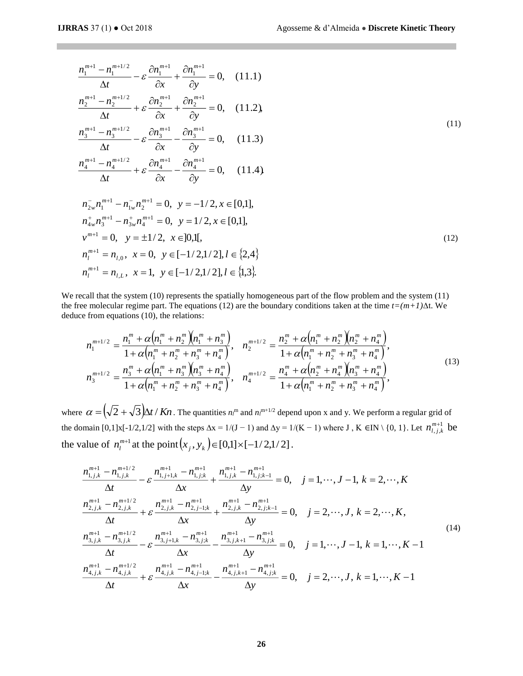*m l*

$$
\frac{n_1^{m+1} - n_1^{m+1/2}}{\Delta t} - \varepsilon \frac{\partial n_1^{m+1}}{\partial x} + \frac{\partial n_1^{m+1}}{\partial y} = 0, \quad (11.1)
$$
\n
$$
\frac{n_2^{m+1} - n_2^{m+1/2}}{\Delta t} + \varepsilon \frac{\partial n_2^{m+1}}{\partial x} + \frac{\partial n_2^{m+1}}{\partial y} = 0, \quad (11.2)
$$
\n
$$
\frac{n_3^{m+1} - n_3^{m+1/2}}{\Delta t} - \varepsilon \frac{\partial n_3^{m+1}}{\partial x} - \frac{\partial n_3^{m+1}}{\partial y} = 0, \quad (11.3)
$$
\n
$$
\frac{n_4^{m+1} - n_4^{m+1/2}}{\Delta t} + \varepsilon \frac{\partial n_4^{m+1}}{\partial x} - \frac{\partial n_4^{m+1}}{\partial y} = 0, \quad (11.4)
$$
\n
$$
n_{2w}^{-} n_1^{m+1} - n_{1w}^{-} n_2^{m+1} = 0, \quad y = -1/2, x \in [0,1],
$$
\n
$$
n_{4w}^{+} n_3^{m+1} - n_{3w}^{+} n_4^{m+1} = 0, \quad y = 1/2, x \in [0,1],
$$
\n
$$
v^{m+1} = 0, \quad y = \pm 1/2, \quad x \in ]0,1[, \quad v^{m+1} = n_{1,0}, \quad x = 0, \quad y \in [-1/2, 1/2], l \in \{2, 4\}
$$
\n
$$
(12)
$$

We recall that the system (10) represents the spatially homogeneous part of the flow problem and the system (11) the free molecular regime part. The equations (12) are the boundary conditions taken at the time *t=(m+1)*∆t. We deduce from equations (10), the relations:

 $, L, x = 1, y \in [-1/2, 1/2], l \in \{1,3\}.$ 

 $n_l^{m+1} = n_{l,L}, x = 1, y \in [-1/2,1/2], l \in$ 

$$
n_1^{m+1/2} = \frac{n_1^m + \alpha \left(n_1^m + n_2^m\right) \left(n_1^m + n_3^m\right)}{1 + \alpha \left(n_1^m + n_2^m + n_3^m + n_4^m\right)}, \quad n_2^{m+1/2} = \frac{n_2^m + \alpha \left(n_1^m + n_2^m\right) \left(n_2^m + n_4^m\right)}{1 + \alpha \left(n_1^m + n_2^m + n_3^m + n_4^m\right)},
$$
\n
$$
n_3^{m+1/2} = \frac{n_3^m + \alpha \left(n_1^m + n_3^m\right) \left(n_3^m + n_4^m\right)}{1 + \alpha \left(n_1^m + n_2^m + n_3^m + n_4^m\right)}, \quad n_4^{m+1/2} = \frac{n_4^m + \alpha \left(n_2^m + n_4^m\right) \left(n_3^m + n_4^m\right)}{1 + \alpha \left(n_1^m + n_2^m + n_3^m + n_4^m\right)},
$$
\n
$$
(13)
$$

where  $\alpha = (\sqrt{2} + \sqrt{3})\Delta t / Kn$ . The quantities  $n_l^m$  and  $n_l^{m+1/2}$  depend upon x and y. We perform a regular grid of the domain [0,1]x[-1/2,1/2] with the steps  $\Delta x = 1/(J - 1)$  and  $\Delta y = 1/(K - 1)$  where J, K  $\in$  IN \{0, 1}. Let  $n_{j, i}^{m+1}$ ,,,  $n_{l,j,k}^{m+1}$  be the value of  $n_l^{m+1}$  at the point  $(x_j, y_k) \in [0,1] \times [-1/2,1/2]$ .

$$
\frac{n_{1,j,k}^{m+1} - n_{1,j,k}^{m+1/2}}{\Delta t} - \varepsilon \frac{n_{1,j+1,k}^{m+1} - n_{1,j,k}^{m+1}}{\Delta x} + \frac{n_{1,j,k}^{m+1} - n_{1,j,k-1}^{m+1}}{\Delta y} = 0, \quad j = 1, \dots, J-1, k = 2, \dots, K
$$
\n
$$
\frac{n_{2,j,k}^{m+1} - n_{2,j,k}^{m+1/2}}{\Delta t} + \varepsilon \frac{n_{2,j,k}^{m+1} - n_{2,j-1,k}^{m+1}}{\Delta x} + \frac{n_{2,j,k}^{m+1} - n_{2,j,k-1}^{m+1}}{\Delta y} = 0, \quad j = 2, \dots, J, k = 2, \dots, K,
$$
\n
$$
\frac{n_{3,j,k}^{m+1} - n_{3,j,k}^{m+1/2}}{\Delta t} - \varepsilon \frac{n_{3,j+1,k}^{m+1} - n_{3,j,k}^{m+1}}{\Delta x} - \frac{n_{3,j,k+1}^{m+1} - n_{3,j,k}^{m+1}}{\Delta y} = 0, \quad j = 1, \dots, J-1, k = 1, \dots, K-1
$$
\n
$$
\frac{n_{4,j,k}^{m+1} - n_{4,j,k}^{m+1/2}}{\Delta t} + \varepsilon \frac{n_{4,j,k}^{m+1} - n_{4,j-1,k}^{m+1}}{\Delta x} - \frac{n_{4,j,k+1}^{m+1} - n_{4,j,k}^{m+1}}{\Delta y} = 0, \quad j = 2, \dots, J, k = 1, \dots, K-1
$$
\n
$$
\frac{\Delta t}{\Delta t}
$$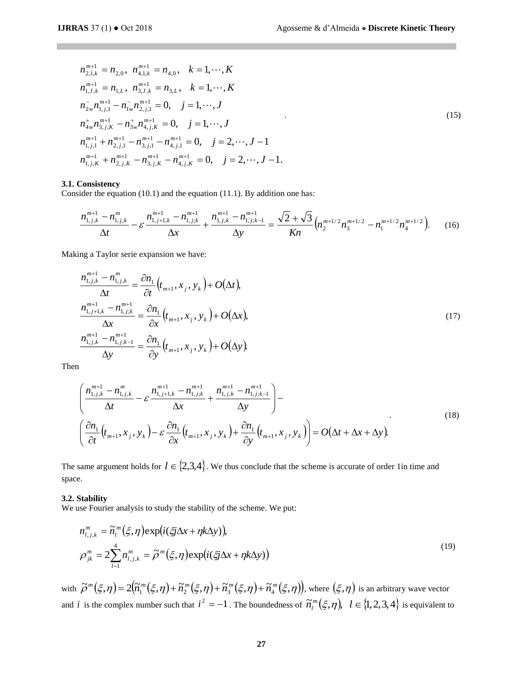$$
n_{2,1,k}^{m+1} = n_{2,0}, \quad n_{4,1,k}^{m+1} = n_{4,0}, \quad k = 1, \cdots, K
$$
\n
$$
n_{1,J,k}^{m+1} = n_{1,L}, \quad n_{3,J,k}^{m+1} = n_{3,L}, \quad k = 1, \cdots, K
$$
\n
$$
n_{2w}^{-} n_{1,j,1}^{m+1} - n_{1w}^{-} n_{2,j,1}^{m+1} = 0, \quad j = 1, \cdots, J
$$
\n
$$
n_{4w}^{+} n_{3,j,K}^{m+1} - n_{3w}^{+} n_{4,j,K}^{m+1} = 0, \quad j = 1, \cdots, J
$$
\n
$$
n_{1,j,1}^{m+1} + n_{2,j,1}^{m+1} - n_{3,j,1}^{m+1} - n_{4,j,1}^{m+1} = 0, \quad j = 2, \cdots, J - 1
$$
\n
$$
n_{1,j,K}^{m+1} + n_{2,j,K}^{m+1} - n_{3,j,K}^{m+1} - n_{4,j,K}^{m+1} = 0, \quad j = 2, \cdots, J - 1.
$$
\n(15)

#### **3.1. Consistency**

Consider the equation (10.1) and the equation (11.1). By addition one has:

$$
\frac{n_{1,j,k}^{m+1} - n_{1,j,k}^m}{\Delta t} - \varepsilon \frac{n_{1,j+1,k}^{m+1} - n_{1,j,k}^{m+1}}{\Delta x} + \frac{n_{1,j,k}^{m+1} - n_{1,j,k-1}^{m+1}}{\Delta y} = \frac{\sqrt{2} + \sqrt{3}}{Kn} \left( n_2^{m+1/2} n_3^{m+1/2} - n_1^{m+1/2} n_4^{m+1/2} \right). \tag{16}
$$

Making a Taylor serie expansion we have:

$$
\frac{n_{1,j,k}^{m+1} - n_{1,j,k}^m}{\Delta t} = \frac{\partial n_1}{\partial t} (t_{m+1}, x_j, y_k) + O(\Delta t),
$$
\n
$$
\frac{n_{1,j+1,k}^{m+1} - n_{1,j,k}^{m+1}}{\Delta x} = \frac{\partial n_1}{\partial x} (t_{m+1}, x_j, y_k) + O(\Delta x),
$$
\n
$$
\frac{n_{1,j,k}^{m+1} - n_{1,j,k-1}^{m+1}}{\Delta y} = \frac{\partial n_1}{\partial y} (t_{m+1}, x_j, y_k) + O(\Delta y).
$$
\n(17)

Then

$$
\left(\frac{n_{1,j,k}^{m+1} - n_{1,j,k}^m}{\Delta t} - \varepsilon \frac{n_{1,j+1,k}^{m+1} - n_{1,j,k}^{m+1}}{\Delta x} + \frac{n_{1,j,k}^{m+1} - n_{1,j,k-1}^{m+1}}{\Delta y}\right) - \left(\frac{\partial n_1}{\partial t} \left(t_{m+1}, x_j, y_k\right) - \varepsilon \frac{\partial n_1}{\partial x} \left(t_{m+1}, x_j, y_k\right) + \frac{\partial n_1}{\partial y} \left(t_{m+1}, x_j, y_k\right)\right) = O\left(\Delta t + \Delta x + \Delta y\right).
$$
\n(18)

The same argument holds for  $l \in \{2,3,4\}$ . We thus conclude that the scheme is accurate of order 1in time and space.

#### **3.2. Stability**

We use Fourier analysis to study the stability of the scheme. We put:

$$
n_{i,j,k}^m = \tilde{n}_i^m(\xi, \eta) \exp\left(i(\xi j \Delta x + \eta k \Delta y)\right),
$$
  
\n
$$
\rho_{jk}^m = 2 \sum_{l=1}^4 n_{l,j,k}^m = \tilde{\rho}^m(\xi, \eta) \exp\left(i(\xi j \Delta x + \eta k \Delta y)\right)
$$
\n(19)

with  $\tilde{\rho}^m(\xi,\eta) = 2(\tilde{n}_1^m(\xi,\eta) + \tilde{n}_2^m(\xi,\eta) + \tilde{n}_3^m(\xi,\eta) + \tilde{n}_4^m(\xi,\eta)),$  $\tilde{m}(\xi,\eta) = 2(\widetilde{n}_1^m(\xi,\eta) + \widetilde{n}_2^m(\xi,\eta) + \widetilde{n}_3^m(\xi,\eta))$ , where  $(\xi,\eta)$  is an arbitrary wave vector and *i* is the complex number such that  $i^2 = -1$ . The boundedness of  $\tilde{n}_l^m(\xi, \eta)$ ,  $l \in \{1, 2, 3, 4\}$  is equivalent to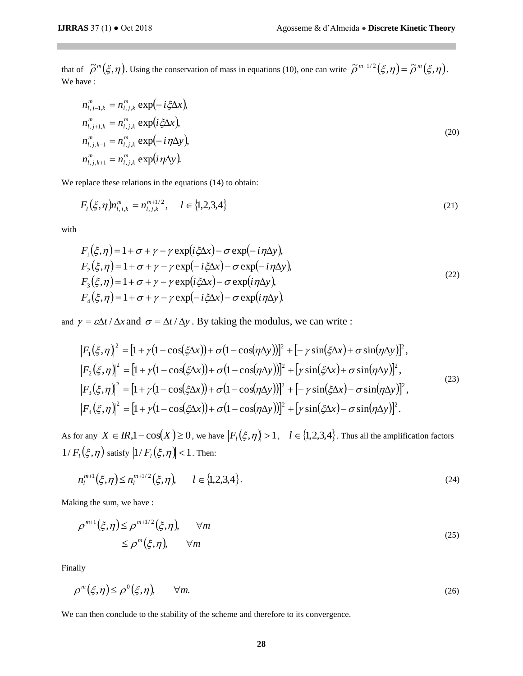that of  $\tilde{\rho}^m(\xi, \eta)$ . Using the conservation of mass in equations (10), one can write  $\tilde{\rho}^{m+1/2}(\xi, \eta) = \tilde{\rho}^m(\xi, \eta)$ . We have :

$$
n_{l,j-1,k}^m = n_{l,j,k}^m \exp(-i\xi\Delta x),
$$
  
\n
$$
n_{l,j+1,k}^m = n_{l,j,k}^m \exp(i\xi\Delta x),
$$
  
\n
$$
n_{l,j,k-1}^m = n_{l,j,k}^m \exp(-i\eta\Delta y),
$$
  
\n
$$
n_{l,j,k+1}^m = n_{l,j,k}^m \exp(i\eta\Delta y).
$$
\n(20)

We replace these relations in the equations  $(14)$  to obtain:

$$
F_l(\xi, \eta) n_{l,j,k}^m = n_{l,j,k}^{m+1/2}, \quad l \in \{1,2,3,4\}
$$
\n(21)

with

$$
F_1(\xi, \eta) = 1 + \sigma + \gamma - \gamma \exp(i\xi\Delta x) - \sigma \exp(-i\eta\Delta y),
$$
  
\n
$$
F_2(\xi, \eta) = 1 + \sigma + \gamma - \gamma \exp(-i\xi\Delta x) - \sigma \exp(-i\eta\Delta y),
$$
  
\n
$$
F_3(\xi, \eta) = 1 + \sigma + \gamma - \gamma \exp(i\xi\Delta x) - \sigma \exp(i\eta\Delta y),
$$
  
\n
$$
F_4(\xi, \eta) = 1 + \sigma + \gamma - \gamma \exp(-i\xi\Delta x) - \sigma \exp(i\eta\Delta y).
$$
\n(22)

and  $\gamma = \varepsilon \Delta t / \Delta x$  and  $\sigma = \Delta t / \Delta y$ . By taking the modulus, we can write :

$$
|F_1(\xi,\eta)|^2 = [1 + \gamma(1 - \cos(\xi\Delta x)) + \sigma(1 - \cos(\eta\Delta y))]^2 + [-\gamma\sin(\xi\Delta x) + \sigma\sin(\eta\Delta y)]^2,
$$
  
\n
$$
|F_2(\xi,\eta)|^2 = [1 + \gamma(1 - \cos(\xi\Delta x)) + \sigma(1 - \cos(\eta\Delta y))]^2 + [\gamma\sin(\xi\Delta x) + \sigma\sin(\eta\Delta y)]^2,
$$
  
\n
$$
|F_3(\xi,\eta)|^2 = [1 + \gamma(1 - \cos(\xi\Delta x)) + \sigma(1 - \cos(\eta\Delta y))]^2 + [-\gamma\sin(\xi\Delta x) - \sigma\sin(\eta\Delta y)]^2,
$$
  
\n
$$
|F_4(\xi,\eta)|^2 = [1 + \gamma(1 - \cos(\xi\Delta x)) + \sigma(1 - \cos(\eta\Delta y))]^2 + [\gamma\sin(\xi\Delta x) - \sigma\sin(\eta\Delta y)]^2.
$$
 (23)

As for any  $X \in \mathbb{R}$ ,  $1 - \cos(X) \ge 0$ , we have  $|F_i(\xi, \eta)| > 1$ ,  $l \in \{1, 2, 3, 4\}$ . Thus all the amplification factors  $1/F_l(\xi, \eta)$  satisfy  $\big| 1/F_l(\xi, \eta) \big| < 1$  . Then:

$$
n_l^{m+1}(\xi, \eta) \le n_l^{m+1/2}(\xi, \eta), \qquad l \in \{1, 2, 3, 4\}.
$$
\n(24)

Making the sum, we have :

$$
\rho^{m+1}(\xi,\eta) \leq \rho^{m+1/2}(\xi,\eta), \qquad \forall m
$$
  
 
$$
\leq \rho^{m}(\xi,\eta), \qquad \forall m
$$
 (25)

Finally

$$
\rho^m(\xi,\eta) \le \rho^0(\xi,\eta), \qquad \forall m. \tag{26}
$$

We can then conclude to the stability of the scheme and therefore to its convergence.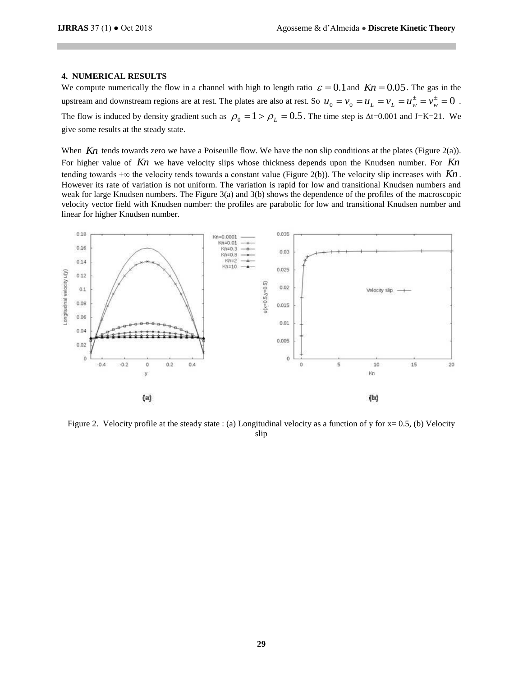## **4. NUMERICAL RESULTS**

We compute numerically the flow in a channel with high to length ratio  $\varepsilon = 0.1$  and  $Kn = 0.05$ . The gas in the upstream and downstream regions are at rest. The plates are also at rest. So  $u_0 = v_0 = u_L = v_L = u_w^{\pm} = v_w^{\pm} = 0$ . The flow is induced by density gradient such as  $\rho_0 = 1 > \rho_L = 0.5$ . The time step is  $\Delta t = 0.001$  and J=K=21. We give some results at the steady state.

When  $Kn$  tends towards zero we have a Poiseuille flow. We have the non slip conditions at the plates (Figure 2(a)). For higher value of  $Kn$  we have velocity slips whose thickness depends upon the Knudsen number. For Kn tending towards  $+\infty$  the velocity tends towards a constant value (Figure 2(b)). The velocity slip increases with  $Kn$ . However its rate of variation is not uniform. The variation is rapid for low and transitional Knudsen numbers and weak for large Knudsen numbers. The Figure 3(a) and 3(b) shows the dependence of the profiles of the macroscopic velocity vector field with Knudsen number: the profiles are parabolic for low and transitional Knudsen number and linear for higher Knudsen number.



Figure 2. Velocity profile at the steady state : (a) Longitudinal velocity as a function of y for  $x= 0.5$ , (b) Velocity slip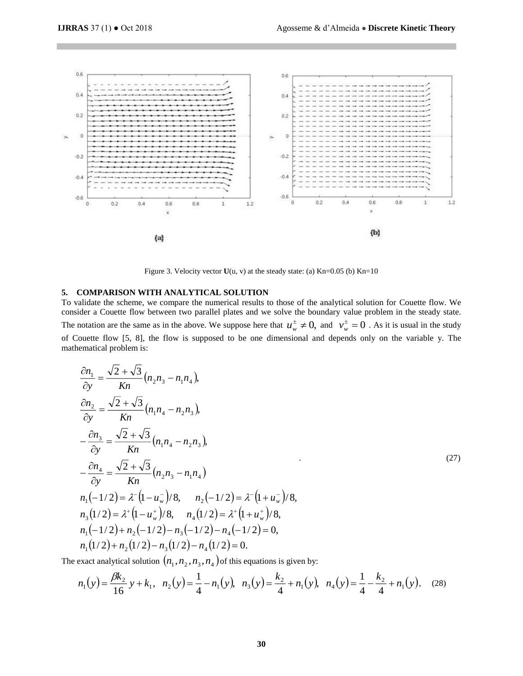

Figure 3. Velocity vector  $U(u, v)$  at the steady state: (a)  $Kn=0.05$  (b)  $Kn=10$ 

## **5. COMPARISON WITH ANALYTICAL SOLUTION**

To validate the scheme, we compare the numerical results to those of the analytical solution for Couette flow. We consider a Couette flow between two parallel plates and we solve the boundary value problem in the steady state. The notation are the same as in the above. We suppose here that  $u_w^{\pm} \neq 0$ , and  $v_w^{\pm} = 0$  $v_w^{\dagger} = 0$ . As it is usual in the study of Couette flow [5, 8], the flow is supposed to be one dimensional and depends only on the variable y. The mathematical problem is:

$$
\frac{\partial n_1}{\partial y} = \frac{\sqrt{2} + \sqrt{3}}{Kn} (n_2 n_3 - n_1 n_4),
$$
\n
$$
\frac{\partial n_2}{\partial y} = \frac{\sqrt{2} + \sqrt{3}}{Kn} (n_1 n_4 - n_2 n_3),
$$
\n
$$
-\frac{\partial n_3}{\partial y} = \frac{\sqrt{2} + \sqrt{3}}{Kn} (n_1 n_4 - n_2 n_3),
$$
\n
$$
-\frac{\partial n_4}{\partial y} = \frac{\sqrt{2} + \sqrt{3}}{Kn} (n_2 n_3 - n_1 n_4),
$$
\n
$$
n_1(-1/2) = \lambda^{-1}(1 - u_w^{-})/8, \quad n_2(-1/2) = \lambda^{-1}(1 + u_w^{-})/8,
$$
\n
$$
n_3(1/2) = \lambda^{+}(1 - u_w^{+})/8, \quad n_4(1/2) = \lambda^{+}(1 + u_w^{+})/8,
$$
\n
$$
n_1(-1/2) + n_2(-1/2) - n_3(-1/2) - n_4(-1/2) = 0,
$$
\n
$$
n_1(1/2) + n_2(1/2) - n_3(1/2) - n_4(1/2) = 0.
$$
\n(11.2)

The exact analytical solution  $(n_{1},n_{2},n_{3},n_{4})$  of this equations is given by:

$$
n_1(y) = \frac{\beta k_2}{16} y + k_1, \quad n_2(y) = \frac{1}{4} - n_1(y), \quad n_3(y) = \frac{k_2}{4} + n_1(y), \quad n_4(y) = \frac{1}{4} - \frac{k_2}{4} + n_1(y), \quad (28)
$$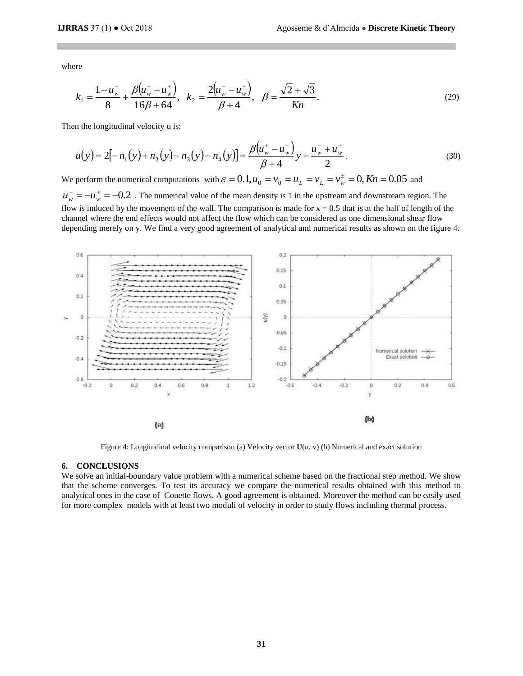where

$$
k_1 = \frac{1 - u_w^-}{8} + \frac{\beta (u_w^- - u_w^+)}{16\beta + 64}, \quad k_2 = \frac{2(u_w^- - u_w^+)}{\beta + 4}, \quad \beta = \frac{\sqrt{2} + \sqrt{3}}{Kn}.
$$
\n<sup>(29)</sup>

Then the longitudinal velocity u is:

$$
u(y) = 2[-n_1(y) + n_2(y) - n_3(y) + n_4(y)] = \frac{\beta(u_w^+ - u_w^-)}{\beta + 4}y + \frac{u_w^- + u_w^+}{2}.
$$
\n(30)

We perform the numerical computations with  $\varepsilon = 0.1$ ,  $u_0 = v_0 = u_L = v_L = v_w^{\pm} = 0$ ,  $Kn = 0.05$  and  $u_w^- = -u_w^+ = -0.2$ . The numerical value of the mean density is 1 in the upstream and downstream region. The flow is induced by the movement of the wall. The comparison is made for  $x = 0.5$  that is at the half of length of the channel where the end effects would not affect the flow which can be considered as one dimensional shear flow

depending merely on y. We find a very good agreement of analytical and numerical results as shown on the figure 4.



Figure 4: Longitudinal velocity comparison (a) Velocity vector **U**(u, v) (b) Numerical and exact solution

## **6. CONCLUSIONS**

We solve an initial-boundary value problem with a numerical scheme based on the fractional step method. We show that the scheme converges. To test its accuracy we compare the numerical results obtained with this method to analytical ones in the case of Couette flows. A good agreement is obtained. Moreover the method can be easily used for more complex models with at least two moduli of velocity in order to study flows including thermal process.